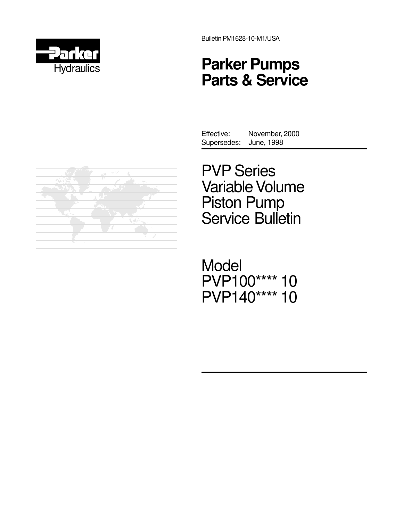

Bulletin PM1628-10-M1/USA

# **Parker Pumps Parts & Service**



Effective: November, 2000 Supersedes: June, 1998

PVP Series Variable Volume Piston Pump Service Bulletin

Model PVP100\*\*\*\* 10 PVP140\*\*\*\* 10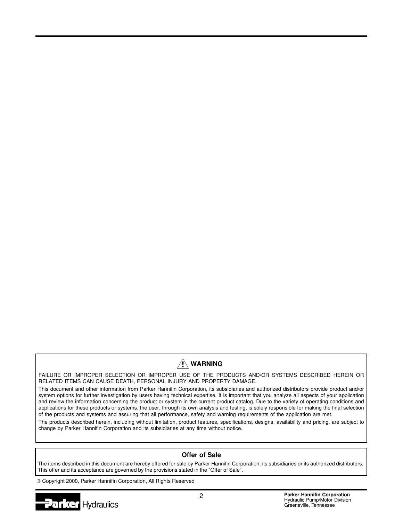# $\hat{N}$  WARNING

FAILURE OR IMPROPER SELECTION OR IMPROPER USE OF THE PRODUCTS AND/OR SYSTEMS DESCRIBED HEREIN OR RELATED ITEMS CAN CAUSE DEATH, PERSONAL INJURY AND PROPERTY DAMAGE.

This document and other information from Parker Hannifin Corporation, its subsidiaries and authorized distributors provide product and/or system options for further investigation by users having technical expertise. It is important that you analyze all aspects of your application and review the information concerning the product or system in the current product catalog. Due to the variety of operating conditions and applications for these products or systems, the user, through its own analysis and testing, is solely responsible for making the final selection of the products and systems and assuring that all performance, safety and warning requirements of the application are met.

The products described herein, including without limitation, product features, specifications, designs, availability and pricing, are subject to change by Parker Hannifin Corporation and its subsidiaries at any time without notice.

#### **Offer of Sale**

The items described in this document are hereby offered for sale by Parker Hannifin Corporation, its subsidiaries or its authorized distributors. This offer and its acceptance are governed by the provisions stated in the "Offer of Sale".

Copyright 2000, Parker Hannifin Corporation, All Rights Reserved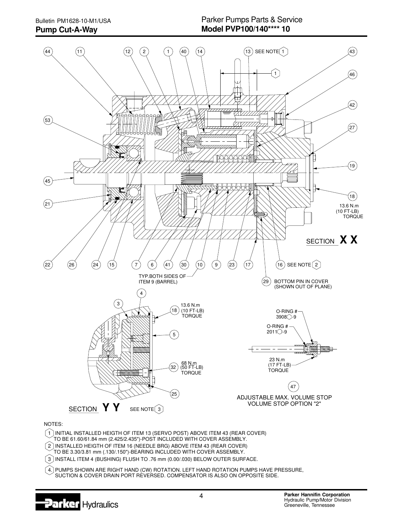



#### NOTES:

 TO BE 3.30/3.81 mm (.130/.150")-BEARING INCLUDED WITH COVER ASSEMBLY. 2 INSTALLED HEIGTH OF ITEM 16 (NEEDLE BRG) ABOVE ITEM 43 (REAR COVER) TO BE 61.60/61.84 mm (2.425/2.435")-POST INCLUDED WITH COVER ASSEMBLY.  $(1)$  INITIAL INSTALLED HEIGTH OF ITEM 13 (SERVO POST) ABOVE ITEM 43 (REAR COVER)

 $\left(3\right)$ INSTALL ITEM 4 (BUSHING) FLUSH TO .76 mm (0.00/.030) BELOW OUTER SURFACE.

 SUCTION & COVER DRAIN PORT REVERSED. COMPENSATOR IS ALSO ON OPPOSITE SIDE.  $\left($ 4.) PUMPS SHOWN ARE RIGHT HAND (CW) ROTATION. LEFT HAND ROTATION PUMPS HAVE PRESSURE,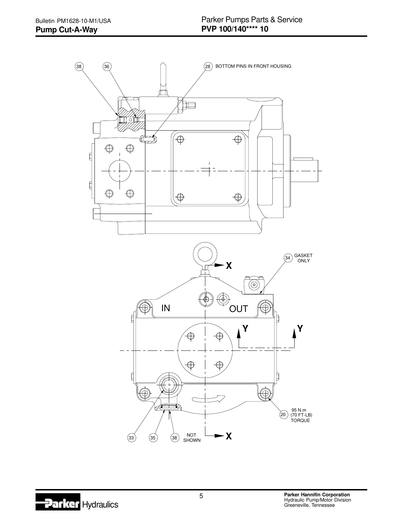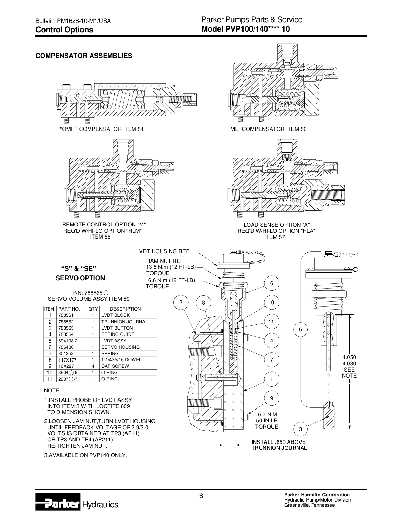#### **COMPENSATOR ASSEMBLIESMANGHAMA** "OMIT" COMPENSATOR ITEM 54 NORTH COMPENSATOR ITEM 56 REMOTE CONTROL OPTION "M" LOAD SENSE OPTION "A" REQ'D W/HI-LO OPTION "HLM" REQ'D W/HI-LO OPTION "HLA" ITEM 55 ITEM 57 LVDT HOUSING REF. **≣⊴**©⊙⊙⊙∩ JAM NUT REF. **"S" & "SE"** 13.8 N.m (12 FT-LB) TORQUE **SERVO OPTION** 16.6 N.m (12 FT-LB) 6 TORQUE P/N: 788565 SERVO VOLUME ASSY ITEM 59  $2$   $8$ 10 ITEM PART NO. QTY DESCRIPTION 1 788561 | 1 | LVDT BLOCK 788562 11  $\overline{2}$ TRUNNION JOURNAL 1 1 LVDT BUTTON 788563 3 5 788564<br>694108-2 SPRING GUIDE 4 1 1 LVDT ASSY 4 5 786486 1 SERVO HOUSING 6 7 801252 SPRING 1 117X177 1 1-1/4X5/16 DOWEL 7 8 9  $10X227$  4 CAP SCREW 4  $10$  $3904$  $-9$ O-RING 1 1 O-RING 1 11 | 2007 $\bigcirc$ -7 NOTE:

- TO DIMENSION SHOWN. INTO ITEM 3 WITH LOCTITE 609 1.INSTALL PROBE OF LVDT ASSY
- RE-TIGHTEN JAM NUT. OR TP3 AND TP4 (AP211). VOLTS IS OBTAINED AT TP3 (AP11) UNTIL FEEDBACK VOLTAGE OF 2.9/3.0 2.LOOSEN JAM NUT,TURN LVDT HOUSING

3.AVAILABLE ON PVP140 ONLY.

6

3

TRUNNION JOURNAL INSTALL .650 ABOVE

TORQUE 50 IN-LB 5.7 N.M

9

4.030 4.050

黒金さん

1 **NOTE** SEE

**Hydraulics**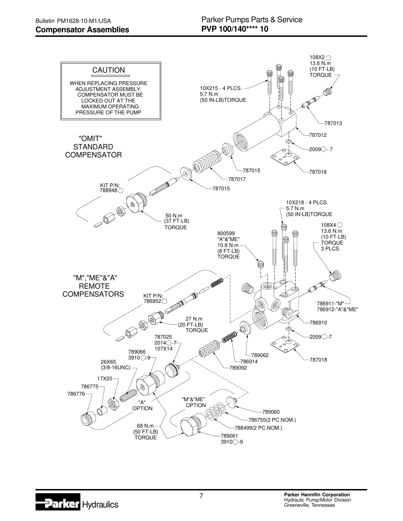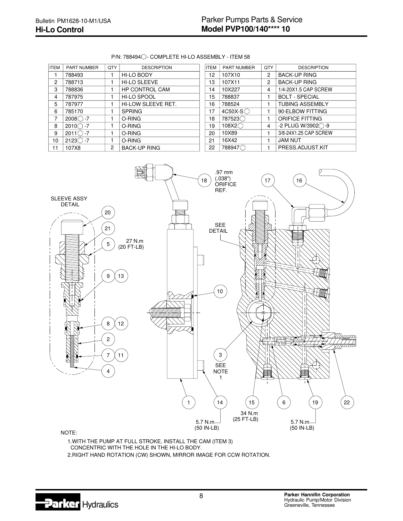#### $P/N$ : 788494 $\bigcirc$ - COMPLETE HI-LO ASSEMBLY - ITEM 58

| <b>ITEM</b>    | PART NUMBER           | QTY | <b>DESCRIPTION</b>    |
|----------------|-----------------------|-----|-----------------------|
|                | 788493                |     | <b>HI-LO BODY</b>     |
| $\mathcal{P}$  | 788713                |     | <b>HI-LO SLEEVE</b>   |
| 3              | 788836                |     | <b>HP CONTROL CAM</b> |
| 4              | 787975                |     | HI-LO SPOOL           |
| 5              | 787977                |     | HI-LOW SLEEVE RET.    |
| 6              | 785170                |     | <b>SPRING</b>         |
| $\overline{7}$ | $2008$ $-7$           |     | O-RING                |
| 8              | $2010\degree$<br>$-7$ |     | O-RING                |
| 9              | 2011<br>$-7$          |     | O-RING                |
| 10             | 2123<br>$-7$          |     | O-RING                |
| 11             | 107X8                 | 2   | <b>BACK-UP RING</b>   |

| <b>ITEM</b>     | <b>PART NUMBER</b> | QTY | <b>DESCRIPTION</b>             |
|-----------------|--------------------|-----|--------------------------------|
| 12 <sup>°</sup> | 107X10             | 2   | <b>BACK-UP RING</b>            |
| 13              | 107X11             | 2   | <b>BACK-UP RING</b>            |
| 14              | 10X227             | 4   | 1/4-20X1.5 CAP SCREW           |
| 15              | 788837             | 1   | <b>BOLT - SPECIAL</b>          |
| 16              | 788524             | 1   | <b>TUBING ASSEMBLY</b>         |
| 17              | 4C50X-S            | 1   | 90 ELBOW FITTING               |
| 18              | 787523             | 1   | <b>ORIFICE FITTING</b>         |
| 19              | 108X2              | 4   | $-2$ PLUG W/3902 $\bigcirc$ -9 |
| 20              | 10X89              | 1   | 3/8-24X1.25 CAP SCREW          |
| 21              | 16X42              | 1   | <b>JAM NUT</b>                 |
| 22              | 788947             |     | PRESS.ADJUST.KIT               |



2.RIGHT HAND ROTATION (CW) SHOWN, MIRROR IMAGE FOR CCW ROTATION. CONCENTRIC WITH THE HOLE IN THE HI-LO BODY. 1.WITH THE PUMP AT FULL STROKE, INSTALL THE CAM (ITEM 3)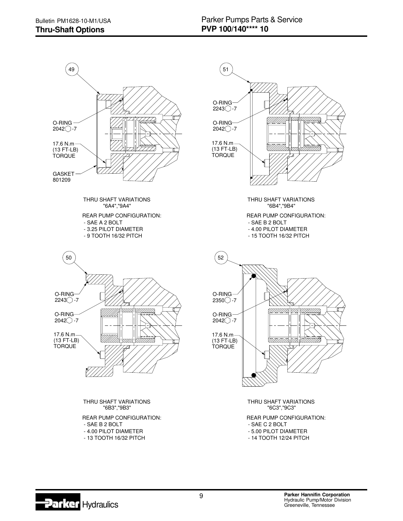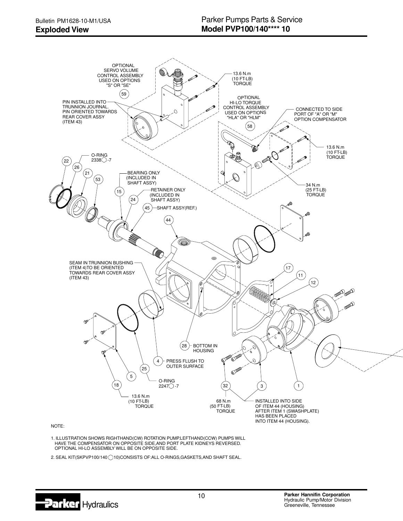

NOTE:

 OPTIONAL HI-LO ASSEMBLY WILL BE ON OPPOSITE SIDE. 1. ILLUSTRATION SHOWS RIGHTHAND(CW) ROTATION PUMP.LEFTHAND(CCW) PUMPS WILL<br>HAVE THE COMPENSATOR ON OPPOSITE SIDE,AND PORT PLATE KIDNEYS REVERSED.

2. SEAL KIT(SKPVP100/140 10)CONSISTS OF: ALL O-RINGS, GASKETS, AND SHAFT SEAL.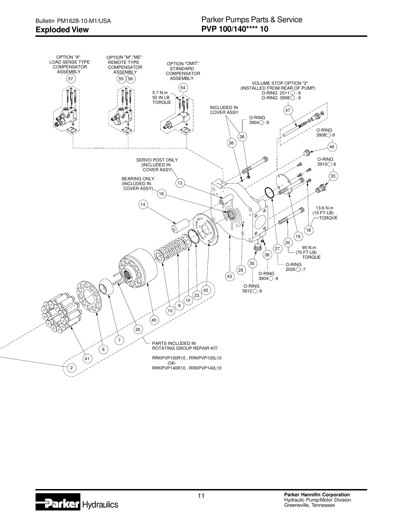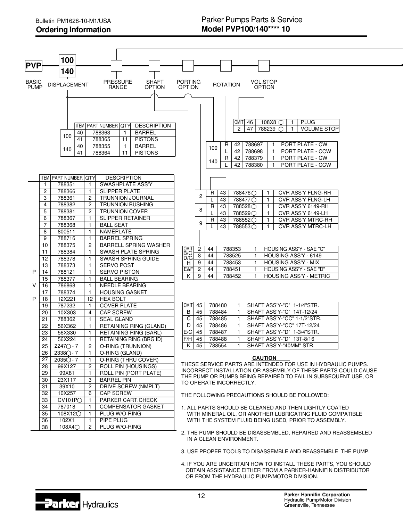|                             |                | 100                                                               |                |                                                                                                                                                                                                                                   |                                 |                |            |                         |                                  |                                                     |                                                                                   |                                                                                                                                       |  |
|-----------------------------|----------------|-------------------------------------------------------------------|----------------|-----------------------------------------------------------------------------------------------------------------------------------------------------------------------------------------------------------------------------------|---------------------------------|----------------|------------|-------------------------|----------------------------------|-----------------------------------------------------|-----------------------------------------------------------------------------------|---------------------------------------------------------------------------------------------------------------------------------------|--|
| <b>PVP</b>                  |                | 140                                                               |                |                                                                                                                                                                                                                                   |                                 |                |            |                         |                                  |                                                     |                                                                                   |                                                                                                                                       |  |
| <b>BASIC</b><br><b>PUMP</b> |                | <b>DISPLACEMENT</b>                                               |                | <b>PRESSURE</b><br><b>SHAFT</b><br><b>OPTION</b><br>RANGE                                                                                                                                                                         | <b>PORTING</b><br><b>OPTION</b> |                |            | <b>ROTATION</b>         |                                  |                                                     | <b>VOL.STOP</b><br><b>OPTION</b>                                                  |                                                                                                                                       |  |
|                             |                | 40<br>100<br>41<br>40<br>140<br>41<br><b>ITEM PART NUMBER QTY</b> |                | <b>ITEM PART NUMBER QTY</b><br><b>DESCRIPTION</b><br>788363<br><b>BARREL</b><br>$\mathbf{1}$<br>788365<br><b>PISTONS</b><br>11<br>788355<br><b>BARREL</b><br>$\mathbf{1}$<br>788364<br><b>PISTONS</b><br>11<br><b>DESCRIPTION</b> |                                 |                | 100<br>140 | R<br>R                  | OMIT  46<br>$\overline{2}$<br>42 | 47<br>42 788697<br>42 788698<br>42 788379<br>788380 | 108X8 $\bigcirc$<br>788239 ◯<br>-1<br>$\mathbf{1}$<br>$\mathbf{1}$<br>$\mathbf 1$ | <b>PLUG</b><br>-1<br><b>VOLUME STOP</b><br>$\mathbf{1}$<br>PORT PLATE - CW<br>PORT PLATE - CCW<br>PORT PLATE - CW<br>PORT PLATE - CCW |  |
|                             | 1              | 788351                                                            | 1              | SWASHPLATE ASS'Y                                                                                                                                                                                                                  |                                 |                |            |                         |                                  |                                                     |                                                                                   |                                                                                                                                       |  |
|                             | $\overline{2}$ | 788366                                                            | 1              | <b>SLIPPER PLATE</b>                                                                                                                                                                                                              |                                 | 2              | R          | 43                      |                                  | 788476 ◯                                            | 1                                                                                 | <b>CVR ASS'Y FLNG-RH</b>                                                                                                              |  |
|                             | 3              | 788361                                                            | 2              | <b>TRUNNION JOURNAL</b>                                                                                                                                                                                                           |                                 |                |            | 43                      |                                  | 788477 Q                                            | $\mathbf{1}$                                                                      | CVR ASS'Y FLNG-LH                                                                                                                     |  |
|                             | 4<br>5         | 788382<br>788381                                                  | 2              | <b>TRUNNION BUSHING</b><br><b>TRUNNION COVER</b>                                                                                                                                                                                  |                                 | 8              | R          | 43                      |                                  | 788528○                                             | 1                                                                                 | CVR ASS'Y 6149-RH                                                                                                                     |  |
|                             | 6              | 788367                                                            | 2<br>1         | <b>SLIPPER RETAINER</b>                                                                                                                                                                                                           |                                 |                |            | 43                      |                                  | 788529○                                             | 1                                                                                 | CVR ASS'Y 6149-LH                                                                                                                     |  |
|                             | 7              | 788368                                                            | 1              | <b>BALL SEAT</b>                                                                                                                                                                                                                  |                                 | 9              | R          | 43                      |                                  | 788552Q                                             | $\mathbf{1}$                                                                      | <b>CVR ASS'Y MTRC-RH</b>                                                                                                              |  |
|                             | 8              | 800511                                                            | 1              | NAMEPLATE                                                                                                                                                                                                                         |                                 |                |            | 43                      |                                  | 788553○                                             | $\mathbf{1}$                                                                      | <b>CVR ASS'Y MTRC-LH</b>                                                                                                              |  |
|                             | 9<br>10        | 788716                                                            | $\mathbf{1}$   | <b>BARREL SPRING</b>                                                                                                                                                                                                              |                                 |                |            |                         |                                  |                                                     |                                                                                   |                                                                                                                                       |  |
|                             |                | 788375                                                            | 2              | <b>BARRELL SPRING WASHER</b>                                                                                                                                                                                                      |                                 |                |            |                         |                                  |                                                     |                                                                                   |                                                                                                                                       |  |
|                             | 11             | 788384                                                            | 1              | SWASH PLATE SPRING                                                                                                                                                                                                                | OMIT                            | $\overline{c}$ | 44         |                         | 788353                           | $\mathbf{1}$                                        |                                                                                   | HOUSING ASS'Y - SAE "C"                                                                                                               |  |
|                             | 12             | 788378                                                            | 1              | SWASH SPRING GUIDE                                                                                                                                                                                                                | B/C<br>D/G<br>H<br>E&F<br>K.    | $\overline{8}$ | 44         |                         | 788525                           | HOUSING ASS'Y - 6149<br>$\mathbf{1}$                |                                                                                   |                                                                                                                                       |  |
|                             | 13             | 788373                                                            | 1.             | <b>SERVO POST</b>                                                                                                                                                                                                                 |                                 | 9              | 44         |                         | 788453                           | $\mathbf{1}$                                        |                                                                                   | <b>HOUSING ASS'Y - MIX</b>                                                                                                            |  |
| P                           | 14             | 788121                                                            | 1              | <b>SERVO PISTON</b>                                                                                                                                                                                                               |                                 | $\overline{c}$ | 44         |                         | 788451                           | $\mathbf{1}$                                        |                                                                                   | HOUSING ASS'Y - SAE "D"                                                                                                               |  |
|                             | 15             | 788377                                                            | 1              | <b>BALL BEARING</b>                                                                                                                                                                                                               |                                 | 9              | 44         |                         | 788452                           | $\mathbf{1}$                                        | <b>HOUSING ASS'Y - METRIC</b>                                                     |                                                                                                                                       |  |
| V                           | 16             | 786868                                                            | 1              | <b>NEEDLE BEARING</b>                                                                                                                                                                                                             |                                 |                |            |                         |                                  |                                                     |                                                                                   |                                                                                                                                       |  |
|                             | 17             | 788374                                                            | 1              | <b>HOUSING GASKET</b>                                                                                                                                                                                                             |                                 |                |            |                         |                                  |                                                     |                                                                                   |                                                                                                                                       |  |
| P                           | 18             | 12X221                                                            | 12             | <b>HEX BOLT</b>                                                                                                                                                                                                                   |                                 |                |            |                         |                                  |                                                     |                                                                                   |                                                                                                                                       |  |
|                             | 19             | 787232                                                            | 1              | <b>COVER PLATE</b>                                                                                                                                                                                                                |                                 | $OMIT$ 45      |            | 788480                  | 1                                |                                                     |                                                                                   | SHAFT ASS'Y-"C" 1-1/4"STR.                                                                                                            |  |
|                             | 20             | 10X303                                                            | 4              | <b>CAP SCREW</b>                                                                                                                                                                                                                  | B                               | 45             |            | 788484                  | $\mathbf{1}$                     |                                                     |                                                                                   | SHAFT ASS'Y-"C" 14T-12/24                                                                                                             |  |
|                             | 21             | 788362                                                            | 1              | <b>SEAL GLAND</b>                                                                                                                                                                                                                 | C                               | 45             |            | 788485                  | $\mathbf{1}$                     |                                                     |                                                                                   | SHAFT ASS'Y-"CC" 1-1/2"STR.                                                                                                           |  |
|                             | 22             | 56X362                                                            | 1              | <b>RETAINING RING (GLAND)</b>                                                                                                                                                                                                     | D                               | 45             |            | 788486                  | $\mathbf{1}$                     |                                                     |                                                                                   | SHAFT ASS'Y-"CC" 17T-12/24                                                                                                            |  |
|                             | 23             | 56X330                                                            | 1              | RETAINING RING (BARL)                                                                                                                                                                                                             | E/G                             | 45             |            | 788487                  |                                  |                                                     |                                                                                   | SHAFT ASS'Y-"D" 1-3/4"STR.                                                                                                            |  |
|                             | 24             | 56X224                                                            | 1              | RETAINING RING (BRG ID)                                                                                                                                                                                                           | F/H                             | 45             |            | 788488                  | $\mathbf{1}$                     |                                                     |                                                                                   | SHAFT ASS'Y-"D" 13T-8/16                                                                                                              |  |
|                             | 25             | $\frac{1}{2247}$ - 7                                              | $\mathbf{2}$   | O-RING (TRUNNION)                                                                                                                                                                                                                 |                                 | $K \mid 45$    |            | 788554                  | 1                                |                                                     |                                                                                   | SHAFT ASS'Y-"40MM" STR.                                                                                                               |  |
|                             | 26             | $2338$ $-7$                                                       | 1              | O-RING (GLAND)                                                                                                                                                                                                                    |                                 |                |            |                         |                                  |                                                     |                                                                                   |                                                                                                                                       |  |
|                             | 27             | $2035$ $- 7$                                                      | 1.             | O-RING (THRU COVER)                                                                                                                                                                                                               |                                 |                |            |                         |                                  |                                                     | <b>CAUTION</b>                                                                    |                                                                                                                                       |  |
|                             | 28             | 99X127                                                            | 2              | ROLL PIN (HOUSINGS)                                                                                                                                                                                                               |                                 |                |            |                         |                                  |                                                     |                                                                                   | THESE SERVICE PARTS ARE INTENDED FOR USE IN HYDRAULIC PUMPS.                                                                          |  |
|                             | 29             | 99X81                                                             | 1              | ROLL PIN (PORT PLATE)                                                                                                                                                                                                             |                                 |                |            |                         |                                  |                                                     |                                                                                   | INCORRECT INSTALLATION OR ASSEMBLY OF THESE PARTS COULD CAUSE<br>THE PUMP OR PUMPS BEING REPAIRED TO FAIL IN SUBSEQUENT USE, OR       |  |
|                             | 30             | 23X117                                                            | 3              | <b>BARREL PIN</b>                                                                                                                                                                                                                 |                                 |                |            | TO OPERATE INCORRECTLY. |                                  |                                                     |                                                                                   |                                                                                                                                       |  |
|                             | 31             | 39X10                                                             | $\overline{c}$ | DRIVE SCREW (NMPLT)                                                                                                                                                                                                               |                                 |                |            |                         |                                  |                                                     |                                                                                   |                                                                                                                                       |  |
|                             | 32             | 10X257                                                            | 6              | CAP SCREW                                                                                                                                                                                                                         |                                 |                |            |                         |                                  |                                                     |                                                                                   | THE FOLLOWING PRECAUTIONS SHOULD BE FOLLOWED:                                                                                         |  |
|                             | 33             | CV101PO                                                           | $\mathbf{1}$   | PARKER CART.CHECK                                                                                                                                                                                                                 |                                 |                |            |                         |                                  |                                                     |                                                                                   |                                                                                                                                       |  |
|                             | 34             | 787018                                                            | $\mathbf{1}$   | <b>COMPENSATOR GASKET</b>                                                                                                                                                                                                         |                                 |                |            |                         |                                  |                                                     |                                                                                   | 1. ALL PARTS SHOULD BE CLEANED AND THEN LIGHTLY COATED                                                                                |  |
|                             | 35             | 108X12Q                                                           | $\mathbf{1}$   | PLUG W/O-RING                                                                                                                                                                                                                     |                                 |                |            |                         |                                  |                                                     |                                                                                   | WITH MINERAL OIL, OR ANOTHER LUBRICATING FLUID COMPATIBLE                                                                             |  |
|                             | 36             | 102X1                                                             | $\mathbf{1}$   | PIPE PLUG                                                                                                                                                                                                                         |                                 |                |            |                         |                                  |                                                     |                                                                                   | WITH THE SYSTEM FLUID BEING USED, PRIOR TO ASSEMBLY.                                                                                  |  |
|                             | 38             | 108X40                                                            | $\overline{2}$ | PLUG W/O-RING                                                                                                                                                                                                                     |                                 |                |            |                         |                                  |                                                     |                                                                                   |                                                                                                                                       |  |

- 2. THE PUMP SHOULD BE DISASSEMBLED, REPAIRED AND REASSEMBLED IN A CLEAN ENVIRONMENT.
- 3. USE PROPER TOOLS TO DISASSEMBLE AND REASSEMBLE THE PUMP.
- 4. IF YOU ARE UNCERTAIN HOW TO INSTALL THESE PARTS, YOU SHOULD OBTAIN ASSISTANCE EITHER FROM A PARKER-HANNIFIN DISTRIBUTOR OR FROM THE HYDRAULIC PUMP/MOTOR DIVISION.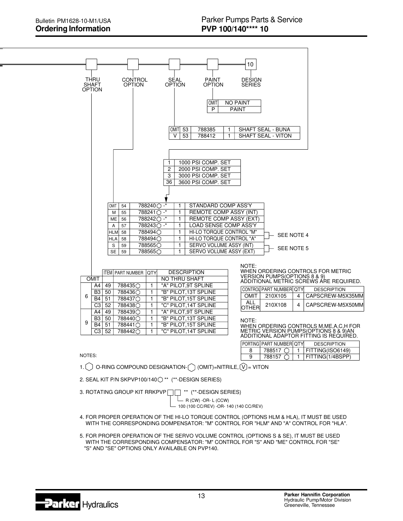

4. FOR PROPER OPERATION OF THE HI-LO TORQUE CONTROL (OPTIONS HLM & HLA), IT MUST BE USED WITH THE CORRESPONDING DOMPENSATOR: "M" CONTROL FOR "HLM" AND "A" CONTROL FOR "HLA".

5. FOR PROPER OPERATION OF THE SERVO VOLUME CONTROL (OPTIONS S & SE), IT MUST BE USED WITH THE CORRESPONDING COMPENSATOR: "M" CONTROL FOR "S" AND "ME" CONTROL FOR "SE" "S" AND "SE" OPTIONS ONLY AVAILABLE ON PVP140.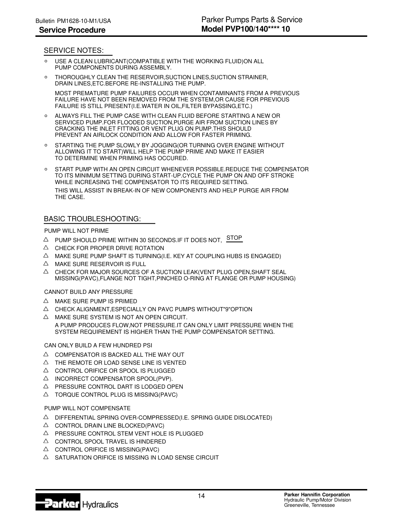### SERVICE NOTES:

- PUMP COMPONENTS DURING ASSEMBLY. USE A CLEAN LUBRICANT(COMPATIBLE WITH THE WORKING FLUID)ON ALL
- THOROUGHLY CLEAN THE RESERVOIR,SUCTION LINES,SUCTION STRAINER,  $\circ$ DRAIN LINES,ETC.BEFORE RE-INSTALLING THE PUMP. MOST PREMATURE PUMP FAILURES OCCUR WHEN CONTAMINANTS FROM A PREVIOUS

FAILURE IS STILL PRESENT(I.E.WATER IN OIL,FILTER BYPASSING,ETC.) FAILURE HAVE NOT BEEN REMOVED FROM THE SYSTEM,OR CAUSE FOR PREVIOUS

- PREVENT AN AIRLOCK CONDITION AND ALLOW FOR FASTER PRIMING. CRACKING THE INLET FITTING OR VENT PLUG ON PUMP.THIS SHOULD SERVICED PUMP.FOR FLOODED SUCTION,PURGE AIR FROM SUCTION LINES BY ALWAYS FILL THE PUMP CASE WITH CLEAN FLUID BEFORE STARTING A NEW OR
- TO DETERMINE WHEN PRIMING HAS OCCURED. ALLOWING IT TO START)WILL HELP THE PUMP PRIME AND MAKE IT EASIER ○ STARTING THE PUMP SLOWLY BY JOGGING(OR TURNING OVER ENGINE WITHOUT
- $\Omega$ START PUMP WITH AN OPEN CIRCUIT WHENEVER POSSIBLE.REDUCE THE COMPENSATOR TO ITS MINIMUM SETTING DURING START-UP.CYCLE THE PUMP ON AND OFF STROKE WHILE INCREASING THE COMPENSATOR TO ITS REQUIRED SETTING.

THE CASE. THIS WILL ASSIST IN BREAK-IN OF NEW COMPONENTS AND HELP PURGE AIR FROM

## BASIC TROUBLESHOOTING:

#### PUMP WILL NOT PRIME

- $\triangle$  PUMP SHOULD PRIME WITHIN 30 SECONDS.IF IT DOES NOT,  $STOP$
- $\triangle$  CHECK FOR PROPER DRIVE ROTATION
- $\triangle$  MAKE SURE PUMP SHAFT IS TURNING(I.E. KEY AT COUPLING HUBS IS ENGAGED)
- $\triangle$  MAKE SURE RESERVOIR IS FULL
- MISSING(PAVC),FLANGE NOT TIGHT,PINCHED O-RING AT FLANGE OR PUMP HOUSING)  $\triangle$  CHECK FOR MAJOR SOURCES OF A SUCTION LEAK(VENT PLUG OPEN,SHAFT SEAL

#### CANNOT BUILD ANY PRESSURE

- $\triangle$  MAKE SURE PUMP IS PRIMED
- $\triangle$  CHECK ALIGNMENT, ESPECIALLY ON PAVC PUMPS WITHOUT"9"OPTION
- SYSTEM REQUIREMENT IS HIGHER THAN THE PUMP COMPENSATOR SETTING. A PUMP PRODUCES FLOW,NOT PRESSURE.IT CAN ONLY LIMIT PRESSURE WHEN THE  $\triangle$  MAKE SURE SYSTEM IS NOT AN OPEN CIRCUIT.

CAN ONLY BUILD A FEW HUNDRED PSI

- $\triangle$  COMPENSATOR IS BACKED ALL THE WAY OUT
- $\triangle$  THE REMOTE OR LOAD SENSE LINE IS VENTED
- $\triangle$  CONTROL ORIFICE OR SPOOL IS PLUGGED
- $\triangle$  INCORRECT COMPENSATOR SPOOL(PVP).
- $\triangle$  PRESSURE CONTROL DART IS LODGED OPEN
- $\triangle$  TORQUE CONTROL PLUG IS MISSING(PAVC)

#### PUMP WILL NOT COMPENSATE

- $\triangle$  DIFFERENTIAL SPRING OVER-COMPRESSED (I.E. SPRING GUIDE DISLOCATED)
- $\triangle$  CONTROL DRAIN LINE BLOCKED(PAVC)
- $\triangle$  PRESSURE CONTROL STEM VENT HOLE IS PLUGGED
- $\triangle$  CONTROL SPOOL TRAVEL IS HINDERED
- $\triangle$  CONTROL ORIFICE IS MISSING(PAVC)
- $\triangle$  SATURATION ORIFICE IS MISSING IN LOAD SENSE CIRCUIT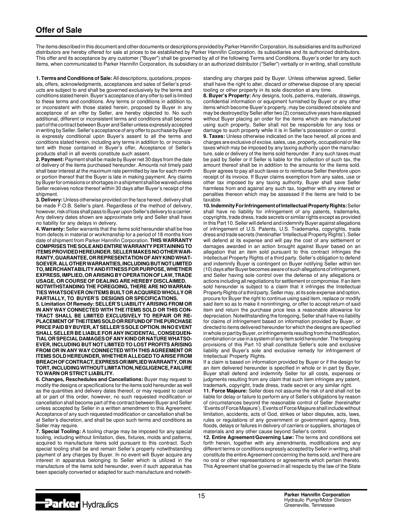The items described in this document and other documents or descriptions provided by Parker Hannifin Corporation, its subsidiaries and its authorized distributors are hereby offered for sale at prices to be established by Parker Hannifin Corporation, its subsidiaries and its authorized distributors. This offer and its acceptance by any customer ("Buyer") shall be governed by all of the following Terms and Conditions. Buyer's order for any such items, when communicated to Parker Hannifin Corporation, its subsidiary or an authorized distributor ("Seller") verbally or in writing, shall constitute

**1. Terms and Conditions of Sale:** All descriptions, quotations, proposals, offers, acknowledgments, acceptances and sales of Seller's products are subject to and shall be governed exclusively by the terms and conditions stated herein. Buyer's acceptance of any offer to sell is limited to these terms and conditions. Any terms or conditions in addition to, or inconsistent with those stated herein, proposed by Buyer in any acceptance of an offer by Seller, are hereby objected to. No such additional, different or inconsistent terms and conditions shall become part of the contract between Buyer and Seller unless expressly accepted in writing by Seller. Seller's acceptance of any offer to purchase by Buyer is expressly conditional upon Buyer's assent to all the terms and conditions stated herein, including any terms in addition to, or inconsistent with those contained in Buyer's offer, Acceptance of Seller's products shall in all events constitute such assent.

**2. Payment:** Payment shall be made by Buyer net 30 days from the date of delivery of the items purchased hereunder. Amounts not timely paid shall bear interest at the maximum rate permitted by law for each month or portion thereof that the Buyer is late in making payment. Any claims by Buyer for omissions or shortages in a shipment shall be waived unless Seller receives notice thereof within 30 days after Buyer's receipt of the shipment.

**3. Delivery:** Unless otherwise provided on the face hereof, delivery shall be made F.O.B. Seller's plant. Regardless of the method of delivery, however, risk of loss shall pass to Buyer upon Seller's delivery to a carrier. Any delivery dates shown are approximate only and Seller shall have no liability for any delays in delivery.

**4. Warranty:** Seller warrants that the items sold hereunder shall be free from defects in material or workmanship for a period of 18 months from date of shipment from Parker Hannifin Corporation. **THIS WARRANTY COMPRISES THE SOLE AND ENTIRE WARRANTY PERTAINING TO ITEMS PROVIDED HEREUNDER. SELLER MAKES NO OTHER WAR-RANTY, GUARANTEE, OR REPRESENTATION OF ANY KIND WHAT-SOEVER. ALL OTHER WARRANTIES, INCLUDING BUT NOT LIMITED TO, MERCHANTABILITY AND FITNESS FOR PURPOSE, WHETHER EXPRESS, IMPLIED, OR ARISING BY OPERATION OF LAW, TRADE USAGE, OR COURSE OF DEALING ARE HEREBY DISCLAIMED. NOTWITHSTANDING THE FOREGOING, THERE ARE NO WARRAN-**

**TIES WHATSOEVER ON ITEMS BUILT OR ACQUIRED WHOLLY OR PARTIALLY, TO BUYER'S DESIGNS OR SPECIFICATIONS.**

**5. Limitation Of Remedy: SELLER'S LIABILITY ARISING FROM OR IN ANY WAY CONNECTED WITH THE ITEMS SOLD OR THIS CON-TRACT SHALL BE LIMITED EXCLUSIVELY TO REPAIR OR RE-PLACEMENT OF THE ITEMS SOLD OR REFUND OF THE PURCHASE PRICE PAID BY BUYER, AT SELLER'S SOLE OPTION. IN NO EVENT SHALL SELLER BE LIABLE FOR ANY INCIDENTAL, CONSEQUEN-TIAL OR SPECIAL DAMAGES OF ANY KIND OR NATURE WHATSO-EVER, INCLUDING BUT NOT LIMITED TO LOST PROFITS ARISING FROM OR IN ANY WAY CONNECTED WITH THIS AGREEMENT OR ITEMS SOLD HEREUNDER, WHETHER ALLEGED TO ARISE FROM BREACH OF CONTRACT, EXPRESS OR IMPLIED WARRANTY, OR IN TORT, INCLUDING WITHOUT LIMITATION, NEGLIGENCE, FAILURE TO WARN OR STRICT LIABILITY.**

**6. Changes, Reschedules and Cancellations:** Buyer may request to modify the designs or specifications for the items sold hereunder as well as the quantities and delivery dates thereof, or may request to cancel all or part of this order, however, no such requested modification or cancellation shall become part of the contract between Buyer and Seller unless accepted by Seller in a written amendment to this Agreement. Acceptance of any such requested modification or cancellation shall be at Seller's discretion, and shall be upon such terms and conditions as Seller may require.

**7. Special Tooling:** A tooling charge may be imposed for any special tooling, including without limitation, dies, fixtures, molds and patterns, acquired to manufacture items sold pursuant to this contract. Such special tooling shall be and remain Seller's property notwithstanding payment of any charges by Buyer. In no event will Buyer acquire any interest in apparatus belonging to Seller which is utilized in the manufacture of the items sold hereunder, even if such apparatus has been specially converted or adapted for such manufacture and notwithstanding any charges paid by Buyer. Unless otherwise agreed, Seller shall have the right to alter, discard or otherwise dispose of any special tooling or other property in its sole discretion at any time.

**8. Buyer's Property:** Any designs, tools, patterns, materials, drawings, confidential information or equipment furnished by Buyer or any other items which become Buyer's property, may be considered obsolete and may be destroyed by Seller after two (2) consecutive years have elapsed without Buyer placing an order for the items which are manufactured using such property, Seller shall not be responsible for any loss or damage to such property while it is in Seller's possession or control.

**9. Taxes:** Unless otherwise indicated on the face hereof, all prices and charges are exclusive of excise, sales, use, property, occupational or like taxes which may be imposed by any taxing authority upon the manufacture, sale or delivery of the items sold hereunder. If any such taxes must be paid by Seller or if Seller is liable for the collection of such tax, the amount thereof shall be in addition to the amounts for the items sold. Buyer agrees to pay all such taxes or to reimburse Seller therefore upon receipt of its invoice. If Buyer claims exemption from any sales, use or other tax imposed by any taxing authority, Buyer shall save Seller harmless from and against any such tax, together with any interest or penalties thereon which may be assessed if the items are held to be taxable.

**10. Indemnity For Infringement of Intellectual Property Rights:** Seller shall have no liability for infringement of any patents, trademarks, copyrights, trade dress, trade secrets or similar rights except as provided in this Part 10. Seller will defend and indemnify Buyer against allegations of infringement of U.S. Patents, U.S. Trademarks, copyrights, trade dress and trade secrets (hereinafter 'Intellectual Property Rights'). Seller will defend at its expense and will pay the cost of any settlement or damages awarded in an action brought against Buyer based on an allegation that an item sold pursuant to this contract infringes the Intellectual Property Rights of a third party. Seller's obligation to defend and indemnify Buyer is contingent on Buyer notifying Seller within ten (10) days after Buyer becomes aware of such allegations of infringement, and Seller having sole control over the defense of any allegations or actions including all negotiations for settlement or compromise. If an item sold hereunder is subject to a claim that it infringes the Intellectual Property Rights of a third party, Seller may, at its sole expense and option, procure for Buyer the right to continue using said item, replace or modify said item so as to make it noninfringing, or offer to accept return of said item and return the purchase price less a reasonable allowance for depreciation. Notwithstanding the foregoing, Seller shall have no liability for claims of infringement based on information provided by Buyer, or directed to items delivered hereunder for which the designs are specified in whole or part by Buyer, or infringements resulting from the modification, combination or use in a system of any item sold hereunder. The foregoing provisions of this Part 10 shall constitute Seller's sole and exclusive liability and Buyer's sole and exclusive remedy for infringement of Intellectual Property Rights.

If a claim is based on information provided by Buyer or if the design for an item delivered hereunder is specified in whole or in part by Buyer, Buyer shall defend and indemnify Seller for all costs, expenses or judgments resulting from any claim that such item infringes any patent, trademark, copyright, trade dress, trade secret or any similar right.

**11. Force Majeure:** Seller does not assume the risk of and shall not be liable for delay or failure to perform any of Seller's obligations by reason of circumstances beyond the reasonable control of Seller (hereinafter 'Events of Force Majeure'). Events of Force Majeure shall include without limitation, accidents, acts of God, strikes or labor disputes, acts, laws, rules or regulations of any government or government agency, fires, floods, delays or failures in delivery of carriers or suppliers, shortages of materials and any other cause beyond Seller's control.

**12. Entire Agreement/Governing Law:** The terms and conditions set forth herein, together with any amendments, modifications and any different terms or conditions expressly accepted by Seller in writing, shall constitute the entire Agreement concerning the items sold, and there are no oral or other representations or agreements which pertain thereto. This Agreement shall be governed in all respects by the law of the State